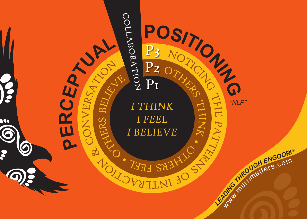**Pe**

**r**

**c**

 $\odot$ 



Co

 $Z$ 

ER

O•

ERSATION P<sub>3</sub> P2 P<sub>1</sub>  $\bigcap$ ollab oratio  $\mathbf Z$ 

*I Think I Feel I Believe*

 $O_I$ 

CHERS

BF.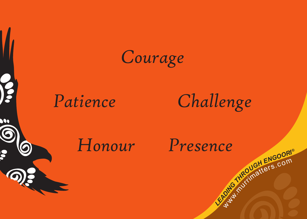



0



## *Patience Challenge*

Way.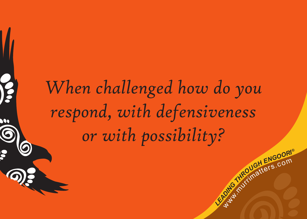## *When challenged how do you respond, with defensiveness or with possibility?*

**C**<br>Like *dia conductives* .com

meurditers.com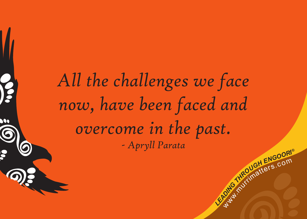*All the challenges we face now, have been faced and overcome in the past. - Apryll Parata*

K

**C**<br>Like and *c*<sup>o</sup>n<sup>*d*</sup> *c*<sup>on</sup><br>*Like and contributionallers*.com

meurditers.com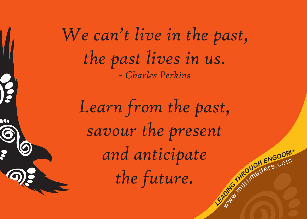*We can't live in the past, the past lives in us. - Charles Perkins*

**C**<br>Like and *c*<sup>o</sup>n<sup>*d*</sup> *c*<sup>on</sup><br>*Like and contributionallers*.com *Learn from the past, savour the present and anticipate the future.*

Way.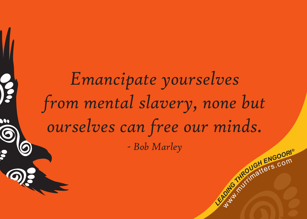# **C**<br>Like and *c*<sup>o</sup>n<sup>*d*</sup> *c*<sup>on</sup><br>*Like and contributionallers*.com *Emancipate yourselves from mental slavery, none but ourselves can free our minds. - Bob Marley*

Way.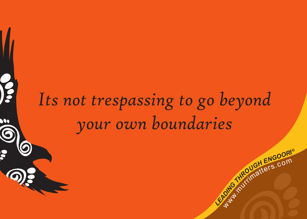## *Its not trespassing to go beyond your own boundaries*

**C**<br>Like *dia conditional ENGOORI®* 

meurditers.com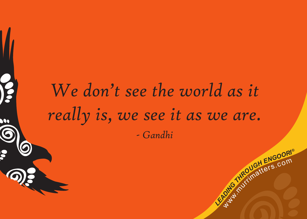### *We don't see the world as it really is, we see it as we are. - Gandhi*

**C**<br>Like *dia conditional ENGOORI®* 

meurditers.com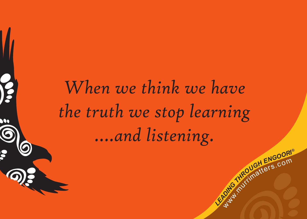*When we think we have the truth we stop learning ….and listening.*

N

**C**<br>Like *dia conditional ENGOORI®* 

meurditers.com